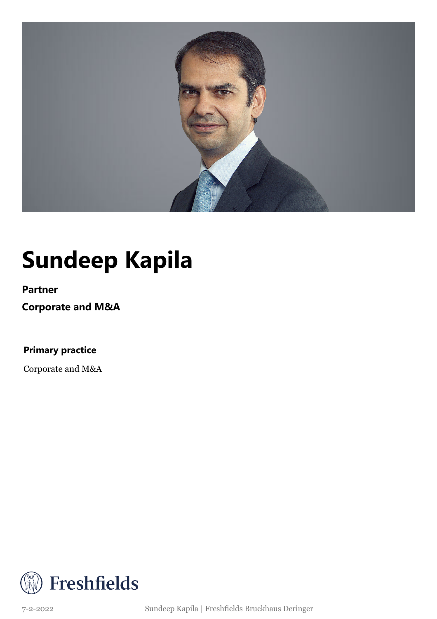

## **Sundeep Kapila**

#### **Partner**

**Corporate and M&A**

### **Primary practice**

Corporate and M&A

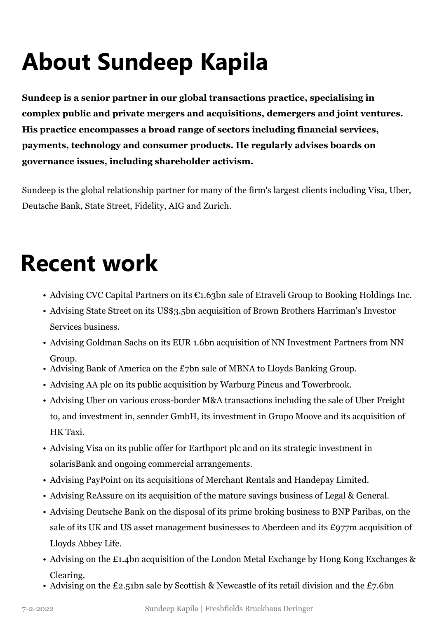# **About Sundeep Kapila**

**Sundeep is a senior partner in our global transactions practice, specialising in complex public and private mergers and acquisitions, demergers and joint ventures. His practice encompasses a broad range of sectors including financial services, payments, technology and consumer products. He regularly advises boards on governance issues, including shareholder activism.**

Sundeep is the global relationship partner for many of the firm's largest clients including Visa, Uber, Deutsche Bank, State Street, Fidelity, AIG and Zurich.

### **Recent work**

- Advising CVC Capital Partners on its €1.63bn sale of Etraveli Group to Booking Holdings Inc.
- Advising State Street on its US\$3.5bn acquisition of Brown Brothers Harriman's Investor Services business.
- Advising Goldman Sachs on its EUR 1.6bn acquisition of NN Investment Partners from NN Group.
- Advising Bank of America on the £7bn sale of MBNA to Lloyds Banking Group.
- Advising AA plc on its public acquisition by Warburg Pincus and Towerbrook.
- Advising Uber on various cross-border M&A transactions including the sale of Uber Freight to, and investment in, sennder GmbH, its investment in Grupo Moove and its acquisition of HK Taxi.
- Advising Visa on its public offer for Earthport plc and on its strategic investment in solarisBank and ongoing commercial arrangements.
- Advising PayPoint on its acquisitions of Merchant Rentals and Handepay Limited.
- Advising ReAssure on its acquisition of the mature savings business of Legal & General.
- Advising Deutsche Bank on the disposal of its prime broking business to BNP Paribas, on the sale of its UK and US asset management businesses to Aberdeen and its £977m acquisition of Lloyds Abbey Life.
- Advising on the £1.4bn acquisition of the London Metal Exchange by Hong Kong Exchanges & Clearing.
- Advising on the £2.51bn sale by Scottish & Newcastle of its retail division and the £7.6bn